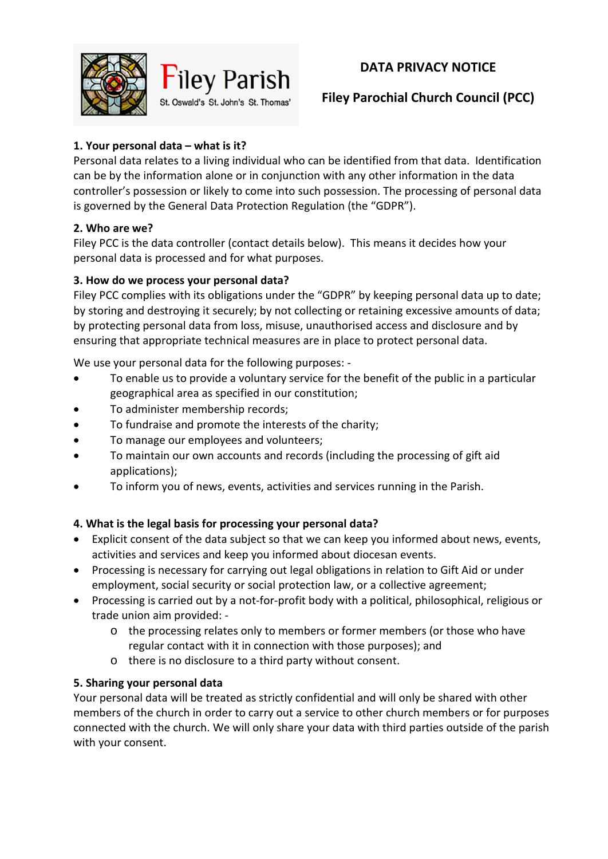**DATA PRIVACY NOTICE** 





# **Filey Parochial Church Council (PCC)**

## **1. Your personal data – what is it?**

Personal data relates to a living individual who can be identified from that data. Identification can be by the information alone or in conjunction with any other information in the data controller's possession or likely to come into such possession. The processing of personal data is governed by the General Data Protection Regulation (the "GDPR").

#### **2. Who are we?**

Filey PCC is the data controller (contact details below). This means it decides how your personal data is processed and for what purposes.

#### **3. How do we process your personal data?**

Filey PCC complies with its obligations under the "GDPR" by keeping personal data up to date; by storing and destroying it securely; by not collecting or retaining excessive amounts of data; by protecting personal data from loss, misuse, unauthorised access and disclosure and by ensuring that appropriate technical measures are in place to protect personal data.

We use your personal data for the following purposes: -

- To enable us to provide a voluntary service for the benefit of the public in a particular geographical area as specified in our constitution;
- To administer membership records;
- To fundraise and promote the interests of the charity;
- To manage our employees and volunteers;
- To maintain our own accounts and records (including the processing of gift aid applications);
- To inform you of news, events, activities and services running in the Parish.

## **4. What is the legal basis for processing your personal data?**

- Explicit consent of the data subject so that we can keep you informed about news, events, activities and services and keep you informed about diocesan events.
- Processing is necessary for carrying out legal obligations in relation to Gift Aid or under employment, social security or social protection law, or a collective agreement;
- Processing is carried out by a not-for-profit body with a political, philosophical, religious or trade union aim provided:
	- o the processing relates only to members or former members (or those who have regular contact with it in connection with those purposes); and
	- o there is no disclosure to a third party without consent.

## **5. Sharing your personal data**

Your personal data will be treated as strictly confidential and will only be shared with other members of the church in order to carry out a service to other church members or for purposes connected with the church. We will only share your data with third parties outside of the parish with your consent.